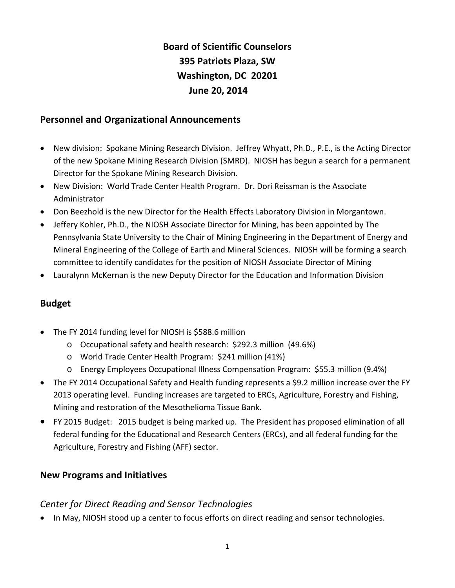# **Board of Scientific Counselors 395 Patriots Plaza, SW Washington, DC 20201 June 20, 2014**

## **Personnel and Organizational Announcements**

- New division: Spokane Mining Research Division. Jeffrey Whyatt, Ph.D., P.E., is the Acting Director of the new Spokane Mining Research Division (SMRD). NIOSH has begun a search for a permanent Director for the Spokane Mining Research Division.
- New Division: World Trade Center Health Program. Dr. Dori Reissman is the Associate Administrator
- Don Beezhold is the new Director for the Health Effects Laboratory Division in Morgantown.
- Jeffery Kohler, Ph.D., the NIOSH Associate Director for Mining, has been appointed by The Pennsylvania State University to the Chair of Mining Engineering in the Department of Energy and Mineral Engineering of the College of Earth and Mineral Sciences. NIOSH will be forming a search committee to identify candidates for the position of NIOSH Associate Director of Mining
- Lauralynn McKernan is the new Deputy Director for the Education and Information Division

## **Budget**

- The FY 2014 funding level for NIOSH is \$588.6 million
	- o Occupational safety and health research: \$292.3 million (49.6%)
	- o World Trade Center Health Program: \$241 million (41%)
	- o Energy Employees Occupational Illness Compensation Program: \$55.3 million (9.4%)
- The FY 2014 Occupational Safety and Health funding represents a \$9.2 million increase over the FY 2013 operating level. Funding increases are targeted to ERCs, Agriculture, Forestry and Fishing, Mining and restoration of the Mesothelioma Tissue Bank.
- FY 2015 Budget: 2015 budget is being marked up. The President has proposed elimination of all federal funding for the Educational and Research Centers (ERCs), and all federal funding for the Agriculture, Forestry and Fishing (AFF) sector.

#### **New Programs and Initiatives**

## *Center for Direct Reading and Sensor Technologies*

• In May, NIOSH stood up a center to focus efforts on direct reading and sensor technologies.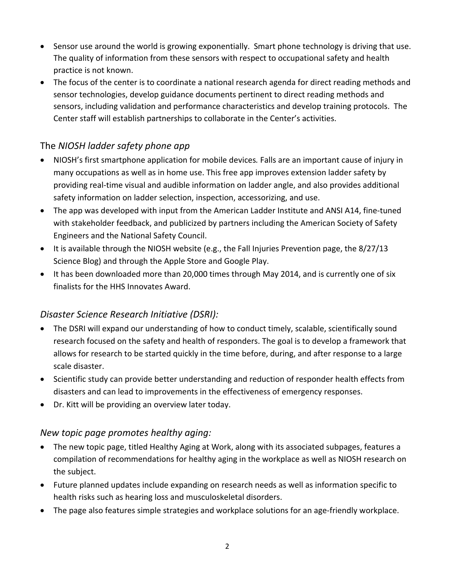- Sensor use around the world is growing exponentially. Smart phone technology is driving that use. The quality of information from these sensors with respect to occupational safety and health practice is not known.
- The focus of the center is to coordinate a national research agenda for direct reading methods and sensor technologies, develop guidance documents pertinent to direct reading methods and sensors, including validation and performance characteristics and develop training protocols. The Center staff will establish partnerships to collaborate in the Center's activities.

## The *NIOSH ladder safety phone app*

- NIOSH's first smartphone application for mobile devices*.* Falls are an important cause of injury in many occupations as well as in home use. This free app improves extension ladder safety by providing real‐time visual and audible information on ladder angle, and also provides additional safety information on ladder selection, inspection, accessorizing, and use.
- The app was developed with input from the American Ladder Institute and ANSI A14, fine-tuned with stakeholder feedback, and publicized by partners including the American Society of Safety Engineers and the National Safety Council.
- It is available through the NIOSH website (e.g., the Fall Injuries Prevention page, the 8/27/13 Science Blog) and through the Apple Store and Google Play.
- It has been downloaded more than 20,000 times through May 2014, and is currently one of six finalists for the HHS Innovates Award.

## *Disaster Science Research Initiative (DSRI):*

- The DSRI will expand our understanding of how to conduct timely, scalable, scientifically sound research focused on the safety and health of responders. The goal is to develop a framework that allows for research to be started quickly in the time before, during, and after response to a large scale disaster.
- Scientific study can provide better understanding and reduction of responder health effects from disasters and can lead to improvements in the effectiveness of emergency responses.
- Dr. Kitt will be providing an overview later today.

## *New topic page promotes healthy aging:*

- The new topic page, titled Healthy Aging at Work, along with its associated subpages, features a compilation of recommendations for healthy aging in the workplace as well as NIOSH research on the subject.
- Future planned updates include expanding on research needs as well as information specific to health risks such as hearing loss and musculoskeletal disorders.
- The page also features simple strategies and workplace solutions for an age-friendly workplace.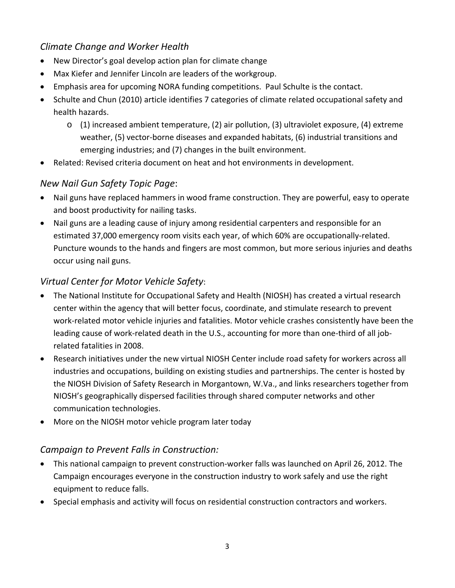## *Climate Change and Worker Health*

- New Director's goal develop action plan for climate change
- Max Kiefer and Jennifer Lincoln are leaders of the workgroup.
- Emphasis area for upcoming NORA funding competitions. Paul Schulte is the contact.
- Schulte and Chun (2010) article identifies 7 categories of climate related occupational safety and health hazards.
	- $\circ$  (1) increased ambient temperature, (2) air pollution, (3) ultraviolet exposure, (4) extreme weather, (5) vector‐borne diseases and expanded habitats, (6) industrial transitions and emerging industries; and (7) changes in the built environment.
- Related: Revised criteria document on heat and hot environments in development.

#### *New Nail Gun Safety Topic Page*:

- Nail guns have replaced hammers in wood frame construction. They are powerful, easy to operate and boost productivity for nailing tasks.
- Nail guns are a leading cause of injury among residential carpenters and responsible for an estimated 37,000 emergency room visits each year, of which 60% are occupationally‐related. Puncture wounds to the hands and fingers are most common, but more serious injuries and deaths occur using nail guns.

## *Virtual Center for Motor Vehicle Safety*:

- The National Institute for Occupational Safety and Health (NIOSH) has created a virtual research center within the agency that will better focus, coordinate, and stimulate research to prevent work‐related motor vehicle injuries and fatalities. Motor vehicle crashes consistently have been the leading cause of work‐related death in the U.S., accounting for more than one‐third of all job‐ related fatalities in 2008.
- Research initiatives under the new virtual NIOSH Center include road safety for workers across all industries and occupations, building on existing studies and partnerships. The center is hosted by the NIOSH Division of Safety Research in Morgantown, W.Va., and links researchers together from NIOSH's geographically dispersed facilities through shared computer networks and other communication technologies.
- More on the NIOSH motor vehicle program later today

## *Campaign to Prevent Falls in Construction:*

- This national campaign to prevent construction‐worker falls was launched on April 26, 2012. The Campaign encourages everyone in the construction industry to work safely and use the right equipment to reduce falls.
- Special emphasis and activity will focus on residential construction contractors and workers.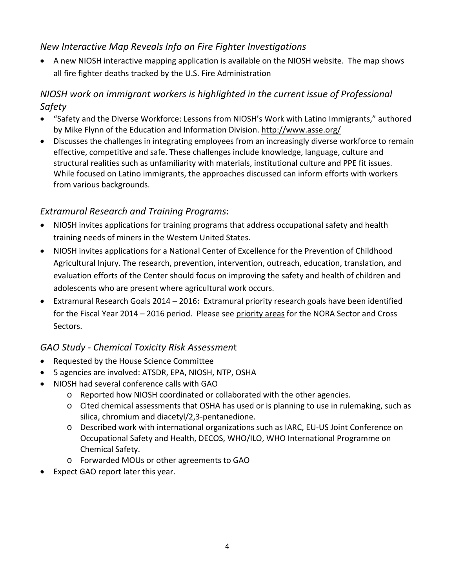## *New Interactive Map Reveals Info on Fire Fighter Investigations*

 A new NIOSH interactive mapping application is available on the NIOSH website. The map shows all fire fighter deaths tracked by the U.S. Fire Administration

## *NIOSH work on immigrant workers is highlighted in the current issue of Professional Safety*

- "Safety and the Diverse Workforce: Lessons from NIOSH's Work with Latino Immigrants," authored by Mike Flynn of the Education and Information Division. http://www.asse.org/
- Discusses the challenges in integrating employees from an increasingly diverse workforce to remain effective, competitive and safe. These challenges include knowledge, language, culture and structural realities such as unfamiliarity with materials, institutional culture and PPE fit issues. While focused on Latino immigrants, the approaches discussed can inform efforts with workers from various backgrounds.

## *Extramural Research and Training Programs*:

- NIOSH invites applications for training programs that address occupational safety and health training needs of miners in the Western United States.
- NIOSH invites applications for a National Center of Excellence for the Prevention of Childhood Agricultural Injury. The research, prevention, intervention, outreach, education, translation, and evaluation efforts of the Center should focus on improving the safety and health of children and adolescents who are present where agricultural work occurs.
- Extramural Research Goals 2014 2016**:** Extramural priority research goals have been identified for the Fiscal Year 2014 – 2016 period. Please see priority areas for the NORA Sector and Cross Sectors.

## *GAO Study ‐ Chemical Toxicity Risk Assessmen*t

- Requested by the House Science Committee
- 5 agencies are involved: ATSDR, EPA, NIOSH, NTP, OSHA
- NIOSH had several conference calls with GAO
	- o Reported how NIOSH coordinated or collaborated with the other agencies.
	- o Cited chemical assessments that OSHA has used or is planning to use in rulemaking, such as silica, chromium and diacetyl/2,3‐pentanedione.
	- Described work with international organizations such as IARC, EU-US Joint Conference on Occupational Safety and Health, DECOS, WHO/ILO, WHO International Programme on Chemical Safety.
	- o Forwarded MOUs or other agreements to GAO
- Expect GAO report later this year.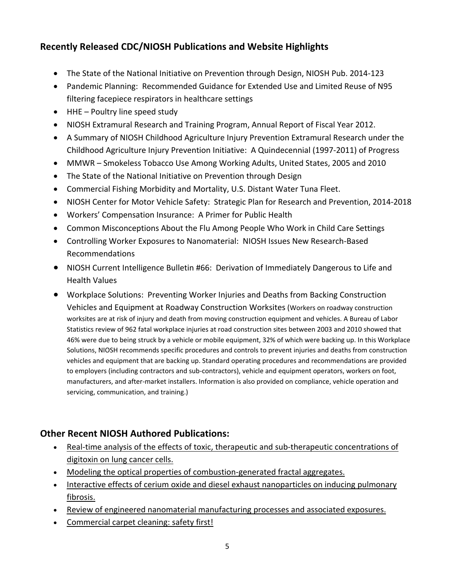## **Recently Released CDC/NIOSH Publications and Website Highlights**

- The State of the National Initiative on Prevention through Design, NIOSH Pub. 2014‐123
- Pandemic Planning: Recommended Guidance for Extended Use and Limited Reuse of N95 filtering facepiece respirators in healthcare settings
- HHE Poultry line speed study
- NIOSH Extramural Research and Training Program, Annual Report of Fiscal Year 2012.
- A Summary of NIOSH Childhood Agriculture Injury Prevention Extramural Research under the Childhood Agriculture Injury Prevention Initiative: A Quindecennial (1997‐2011) of Progress
- MMWR Smokeless Tobacco Use Among Working Adults, United States, 2005 and 2010
- The State of the National Initiative on Prevention through Design
- Commercial Fishing Morbidity and Mortality, U.S. Distant Water Tuna Fleet.
- NIOSH Center for Motor Vehicle Safety: Strategic Plan for Research and Prevention, 2014-2018
- Workers' Compensation Insurance: A Primer for Public Health
- Common Misconceptions About the Flu Among People Who Work in Child Care Settings
- Controlling Worker Exposures to Nanomaterial: NIOSH Issues New Research-Based Recommendations
- NIOSH Current Intelligence Bulletin #66: Derivation of Immediately Dangerous to Life and Health Values
- Workplace Solutions: Preventing Worker Injuries and Deaths from Backing Construction Vehicles and Equipment at Roadway Construction Worksites (Workers on roadway construction worksites are at risk of injury and death from moving construction equipment and vehicles. A Bureau of Labor Statistics review of 962 fatal workplace injuries at road construction sites between 2003 and 2010 showed that 46% were due to being struck by a vehicle or mobile equipment, 32% of which were backing up. In this Workplace Solutions, NIOSH recommends specific procedures and controls to prevent injuries and deaths from construction vehicles and equipment that are backing up. Standard operating procedures and recommendations are provided to employers (including contractors and sub‐contractors), vehicle and equipment operators, workers on foot, manufacturers, and after‐market installers. Information is also provided on compliance, vehicle operation and servicing, communication, and training.)

## **Other Recent NIOSH Authored Publications:**

- Real-time analysis of the effects of toxic, therapeutic and sub-therapeutic concentrations of digitoxin on lung cancer cells.
- Modeling the optical properties of combustion-generated fractal aggregates.
- Interactive effects of cerium oxide and diesel exhaust nanoparticles on inducing pulmonary fibrosis.
- Review of engineered nanomaterial manufacturing processes and associated exposures.
- Commercial carpet cleaning: safety first!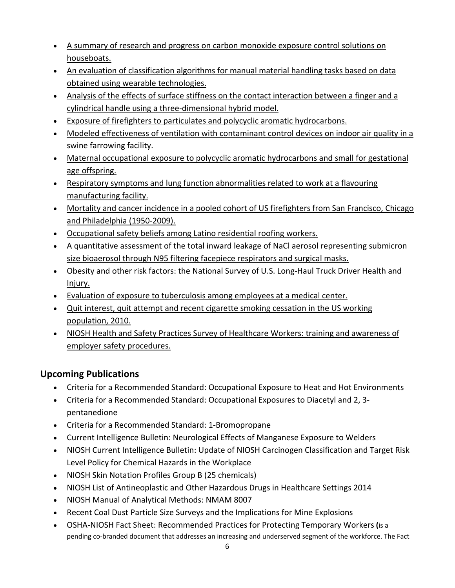- A summary of research and progress on carbon monoxide exposure control solutions on houseboats.
- An evaluation of classification algorithms for manual material handling tasks based on data obtained using wearable technologies.
- Analysis of the effects of surface stiffness on the contact interaction between a finger and a cylindrical handle using a three‐dimensional hybrid model.
- Exposure of firefighters to particulates and polycyclic aromatic hydrocarbons.
- Modeled effectiveness of ventilation with contaminant control devices on indoor air quality in a swine farrowing facility.
- Maternal occupational exposure to polycyclic aromatic hydrocarbons and small for gestational age offspring.
- Respiratory symptoms and lung function abnormalities related to work at a flavouring manufacturing facility.
- Mortality and cancer incidence in a pooled cohort of US firefighters from San Francisco, Chicago and Philadelphia (1950‐2009).
- Occupational safety beliefs among Latino residential roofing workers.
- A quantitative assessment of the total inward leakage of NaCl aerosol representing submicron size bioaerosol through N95 filtering facepiece respirators and surgical masks.
- Obesity and other risk factors: the National Survey of U.S. Long-Haul Truck Driver Health and Injury.
- Evaluation of exposure to tuberculosis among employees at a medical center.
- Quit interest, quit attempt and recent cigarette smoking cessation in the US working population, 2010.
- NIOSH Health and Safety Practices Survey of Healthcare Workers: training and awareness of employer safety procedures.

## **Upcoming Publications**

- Criteria for a Recommended Standard: Occupational Exposure to Heat and Hot Environments
- Criteria for a Recommended Standard: Occupational Exposures to Diacetyl and 2, 3‐ pentanedione
- Criteria for a Recommended Standard: 1‐Bromopropane
- Current Intelligence Bulletin: Neurological Effects of Manganese Exposure to Welders
- NIOSH Current Intelligence Bulletin: Update of NIOSH Carcinogen Classification and Target Risk Level Policy for Chemical Hazards in the Workplace
- NIOSH Skin Notation Profiles Group B (25 chemicals)
- NIOSH List of Antineoplastic and Other Hazardous Drugs in Healthcare Settings 2014
- NIOSH Manual of Analytical Methods: NMAM 8007
- Recent Coal Dust Particle Size Surveys and the Implications for Mine Explosions
- OSHA‐NIOSH Fact Sheet: Recommended Practices for Protecting Temporary Workers **(**is a pending co‐branded document that addresses an increasing and underserved segment of the workforce. The Fact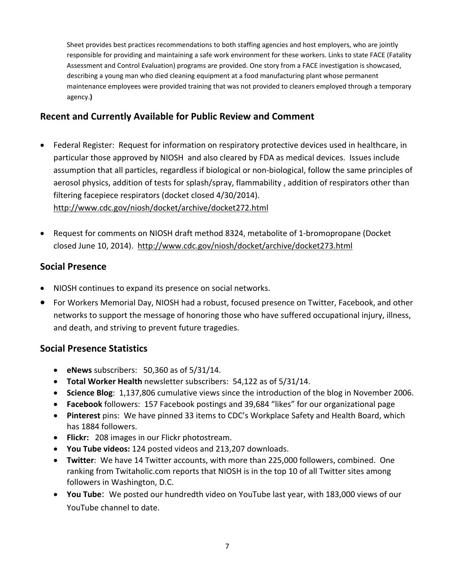Sheet provides best practices recommendations to both staffing agencies and host employers, who are jointly responsible for providing and maintaining a safe work environment for these workers. Links to state FACE (Fatality Assessment and Control Evaluation) programs are provided. One story from a FACE investigation is showcased, describing a young man who died cleaning equipment at a food manufacturing plant whose permanent maintenance employees were provided training that was not provided to cleaners employed through a temporary agency.**)**

## **Recent and Currently Available for Public Review and Comment**

- Federal Register: Request for information on respiratory protective devices used in healthcare, in particular those approved by NIOSH and also cleared by FDA as medical devices. Issues include assumption that all particles, regardless if biological or non‐biological, follow the same principles of aerosol physics, addition of tests for splash/spray, flammability , addition of respirators other than filtering facepiece respirators (docket closed 4/30/2014). http://www.cdc.gov/niosh/docket/archive/docket272.html
- Request for comments on NIOSH draft method 8324, metabolite of 1-bromopropane (Docket closed June 10, 2014). http://www.cdc.gov/niosh/docket/archive/docket273.html

## **Social Presence**

- NIOSH continues to expand its presence on social networks.
- For Workers Memorial Day, NIOSH had a robust, focused presence on Twitter, Facebook, and other networks to support the message of honoring those who have suffered occupational injury, illness, and death, and striving to prevent future tragedies.

## **Social Presence Statistics**

- **eNews** subscribers: 50,360 as of 5/31/14.
- **Total Worker Health** newsletter subscribers: 54,122 as of 5/31/14.
- **Science Blog**: 1,137,806 cumulative views since the introduction of the blog in November 2006.
- **Facebook** followers: 157 Facebook postings and 39,684 "likes" for our organizational page
- **Pinterest** pins: We have pinned 33 items to CDC's Workplace Safety and Health Board, which has 1884 followers.
- **Flickr:** 208 images in our Flickr photostream.
- **You Tube videos:** 124 posted videos and 213,207 downloads.
- **Twitter**: We have 14 Twitter accounts, with more than 225,000 followers, combined. One ranking from Twitaholic.com reports that NIOSH is in the top 10 of all Twitter sites among followers in Washington, D.C.
- **You Tube**: We posted our hundredth video on YouTube last year, with 183,000 views of our YouTube channel to date.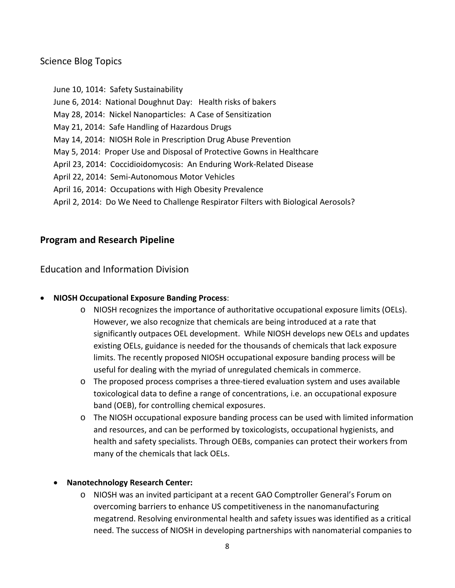## Science Blog Topics

 June 10, 1014: Safety Sustainability June 6, 2014: National Doughnut Day: Health risks of bakers May 28, 2014: Nickel Nanoparticles: A Case of Sensitization May 21, 2014: Safe Handling of Hazardous Drugs May 14, 2014: NIOSH Role in Prescription Drug Abuse Prevention May 5, 2014: Proper Use and Disposal of Protective Gowns in Healthcare April 23, 2014: Coccidioidomycosis: An Enduring Work‐Related Disease April 22, 2014: Semi‐Autonomous Motor Vehicles April 16, 2014: Occupations with High Obesity Prevalence April 2, 2014: Do We Need to Challenge Respirator Filters with Biological Aerosols?

## **Program and Research Pipeline**

Education and Information Division

#### **NIOSH Occupational Exposure Banding Process**:

- o NIOSH recognizes the importance of authoritative occupational exposure limits (OELs). However, we also recognize that chemicals are being introduced at a rate that significantly outpaces OEL development. While NIOSH develops new OELs and updates existing OELs, guidance is needed for the thousands of chemicals that lack exposure limits. The recently proposed NIOSH occupational exposure banding process will be useful for dealing with the myriad of unregulated chemicals in commerce.
- The proposed process comprises a three-tiered evaluation system and uses available toxicological data to define a range of concentrations, i.e. an occupational exposure band (OEB), for controlling chemical exposures.
- o The NIOSH occupational exposure banding process can be used with limited information and resources, and can be performed by toxicologists, occupational hygienists, and health and safety specialists. Through OEBs, companies can protect their workers from many of the chemicals that lack OELs.

#### **Nanotechnology Research Center:**

o NIOSH was an invited participant at a recent GAO Comptroller General's Forum on overcoming barriers to enhance US competitiveness in the nanomanufacturing megatrend. Resolving environmental health and safety issues was identified as a critical need. The success of NIOSH in developing partnerships with nanomaterial companies to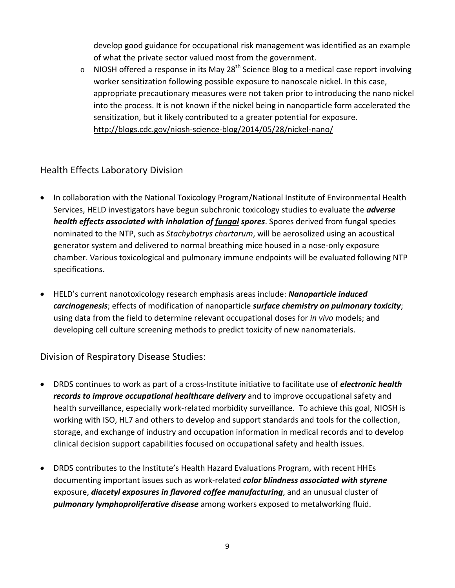develop good guidance for occupational risk management was identified as an example of what the private sector valued most from the government.

 $\circ$  NIOSH offered a response in its May 28<sup>th</sup> Science Blog to a medical case report involving worker sensitization following possible exposure to nanoscale nickel. In this case, appropriate precautionary measures were not taken prior to introducing the nano nickel into the process. It is not known if the nickel being in nanoparticle form accelerated the sensitization, but it likely contributed to a greater potential for exposure. http://blogs.cdc.gov/niosh-science-blog/2014/05/28/nickel-nano/

### Health Effects Laboratory Division

- In collaboration with the National Toxicology Program/National Institute of Environmental Health Services, HELD investigators have begun subchronic toxicology studies to evaluate the *adverse health effects associated with inhalation of fungal spores*. Spores derived from fungal species nominated to the NTP, such as *Stachybotrys chartarum*, will be aerosolized using an acoustical generator system and delivered to normal breathing mice housed in a nose‐only exposure chamber. Various toxicological and pulmonary immune endpoints will be evaluated following NTP specifications.
- HELD's current nanotoxicology research emphasis areas include: *Nanoparticle induced carcinogenesis*; effects of modification of nanoparticle *surface chemistry on pulmonary toxicity*;  using data from the field to determine relevant occupational doses for *in vivo* models; and developing cell culture screening methods to predict toxicity of new nanomaterials.

## Division of Respiratory Disease Studies:

- DRDS continues to work as part of a cross‐Institute initiative to facilitate use of *electronic health records to improve occupational healthcare delivery* and to improve occupational safety and health surveillance, especially work‐related morbidity surveillance. To achieve this goal, NIOSH is working with ISO, HL7 and others to develop and support standards and tools for the collection, storage, and exchange of industry and occupation information in medical records and to develop clinical decision support capabilities focused on occupational safety and health issues.
- DRDS contributes to the Institute's Health Hazard Evaluations Program, with recent HHEs  documenting important issues such as work‐related *color blindness associated with styrene*  exposure, *diacetyl exposures in flavored coffee manufacturing*, and an unusual cluster of *pulmonary lymphoproliferative disease* among workers exposed to metalworking fluid.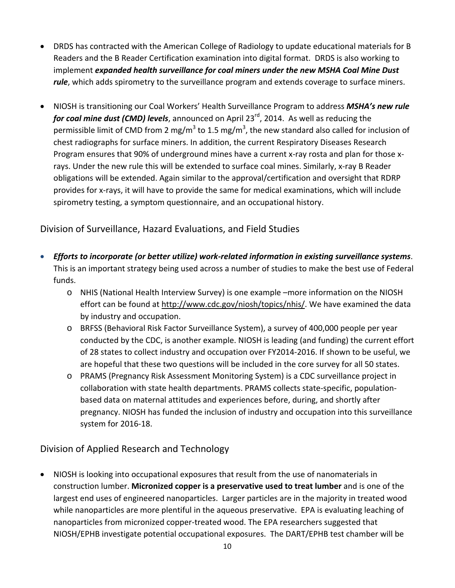- DRDS has contracted with the American College of Radiology to update educational materials for B Readers and the B Reader Certification examination into digital format. DRDS is also working to  implement *expanded health surveillance for coal miners under the new MSHA Coal Mine Dust rule*, which adds spirometry to the surveillance program and extends coverage to surface miners.
- NIOSH is transitioning our Coal Workers' Health Surveillance Program to address *MSHA's new rule for coal mine dust (CMD) levels*, announced on April 23rd, 2014. As well as reducing the permissible limit of CMD from 2 mg/m<sup>3</sup> to 1.5 mg/m<sup>3</sup>, the new standard also called for inclusion of chest radiographs for surface miners. In addition, the current Respiratory Diseases Research Program ensures that 90% of underground mines have a current x‐ray rosta and plan for those x‐ rays. Under the new rule this will be extended to surface coal mines. Similarly, x‐ray B Reader obligations will be extended. Again similar to the approval/certification and oversight that RDRP provides for x‐rays, it will have to provide the same for medical examinations, which will include spirometry testing, a symptom questionnaire, and an occupational history.

## Division of Surveillance, Hazard Evaluations, and Field Studies

- Efforts to incorporate (or better utilize) work-related information in existing surveillance systems. This is an important strategy being used across a number of studies to make the best use of Federal funds.
	- o NHIS (National Health Interview Survey) is one example –more information on the NIOSH effort can be found at http://www.cdc.gov/niosh/topics/nhis/. We have examined the data by industry and occupation.
	- o BRFSS (Behavioral Risk Factor Surveillance System), a survey of 400,000 people per year conducted by the CDC, is another example. NIOSH is leading (and funding) the current effort of 28 states to collect industry and occupation over FY2014‐2016. If shown to be useful, we are hopeful that these two questions will be included in the core survey for all 50 states.
	- o PRAMS (Pregnancy Risk Assessment Monitoring System) is a CDC surveillance project in collaboration with state health departments. PRAMS collects state‐specific, population‐ based data on maternal attitudes and experiences before, during, and shortly after pregnancy. NIOSH has funded the inclusion of industry and occupation into this surveillance system for 2016‐18.

## Division of Applied Research and Technology

 NIOSH is looking into occupational exposures that result from the use of nanomaterials in  construction lumber. **Micronized copper is a preservative used to treat lumber** and is one of the largest end uses of engineered nanoparticles. Larger particles are in the majority in treated wood while nanoparticles are more plentiful in the aqueous preservative. EPA is evaluating leaching of nanoparticles from micronized copper‐treated wood. The EPA researchers suggested that NIOSH/EPHB investigate potential occupational exposures. The DART/EPHB test chamber will be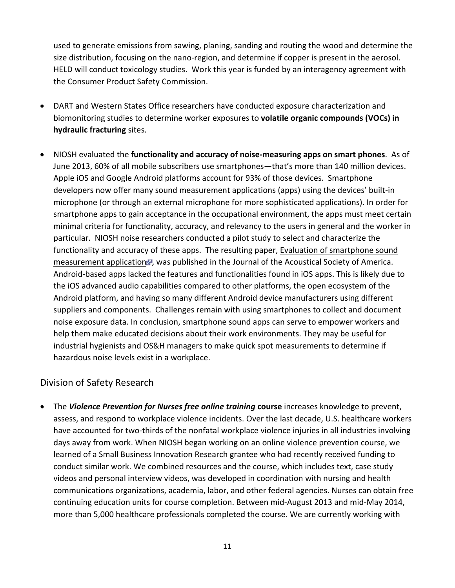used to generate emissions from sawing, planing, sanding and routing the wood and determine the size distribution, focusing on the nano‐region, and determine if copper is present in the aerosol. HELD will conduct toxicology studies. Work this year is funded by an interagency agreement with the Consumer Product Safety Commission.

- DART and Western States Office researchers have conducted exposure characterization and  biomonitoring studies to determine worker exposures to **volatile organic compounds (VOCs) in hydraulic fracturing** sites.
- NIOSH evaluated the **functionality and accuracy of noise‐measuring apps on smart phones**. As of June 2013, 60% of all mobile subscribers use smartphones—that's more than 140 million devices. Apple iOS and Google Android platforms account for 93% of those devices. Smartphone developers now offer many sound measurement applications (apps) using the devices' built‐in microphone (or through an external microphone for more sophisticated applications). In order for smartphone apps to gain acceptance in the occupational environment, the apps must meet certain minimal criteria for functionality, accuracy, and relevancy to the users in general and the worker in particular. NIOSH noise researchers conducted a pilot study to select and characterize the functionality and accuracy of these apps. The resulting paper, Evaluation of smartphone sound [measurement](http://scitation.aip.org/content/asa/journal/jasa/135/4/10.1121/1.4865269) application<sup>a</sup>, was published in the Journal of the Acoustical Society of America. Android‐based apps lacked the features and functionalities found in iOS apps. This is likely due to the iOS advanced audio capabilities compared to other platforms, the open ecosystem of the Android platform, and having so many different Android device manufacturers using different suppliers and components. Challenges remain with using smartphones to collect and document noise exposure data. In conclusion, smartphone sound apps can serve to empower workers and help them make educated decisions about their work environments. They may be useful for industrial hygienists and OS&H managers to make quick spot measurements to determine if hazardous noise levels exist in a workplace.

## Division of Safety Research

 The *Violence Prevention for Nurses free online training* **course** increases knowledge to prevent, assess, and respond to workplace violence incidents. Over the last decade, U.S. healthcare workers have accounted for two-thirds of the nonfatal workplace violence injuries in all industries involving days away from work. When NIOSH began working on an online violence prevention course, we learned of a Small Business Innovation Research grantee who had recently received funding to conduct similar work. We combined resources and the course, which includes text, case study videos and personal interview videos, was developed in coordination with nursing and health communications organizations, academia, labor, and other federal agencies. Nurses can obtain free continuing education units for course completion. Between mid‐August 2013 and mid‐May 2014, more than 5,000 healthcare professionals completed the course. We are currently working with